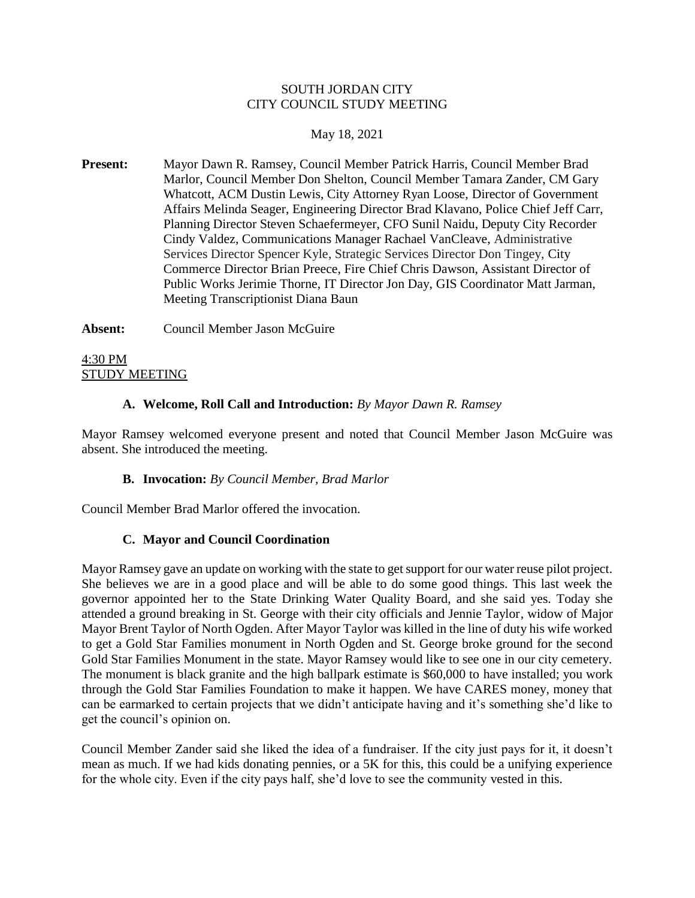#### SOUTH JORDAN CITY CITY COUNCIL STUDY MEETING

#### May 18, 2021

**Present:** Mayor Dawn R. Ramsey, Council Member Patrick Harris, Council Member Brad Marlor, Council Member Don Shelton, Council Member Tamara Zander, CM Gary Whatcott, ACM Dustin Lewis, City Attorney Ryan Loose, Director of Government Affairs Melinda Seager, Engineering Director Brad Klavano, Police Chief Jeff Carr, Planning Director Steven Schaefermeyer, CFO Sunil Naidu, Deputy City Recorder Cindy Valdez, Communications Manager Rachael VanCleave, Administrative Services Director Spencer Kyle, Strategic Services Director Don Tingey, City Commerce Director Brian Preece, Fire Chief Chris Dawson, Assistant Director of Public Works Jerimie Thorne, IT Director Jon Day, GIS Coordinator Matt Jarman, Meeting Transcriptionist Diana Baun

**Absent:** Council Member Jason McGuire

4:30 PM STUDY MEETING

#### **A. Welcome, Roll Call and Introduction:** *By Mayor Dawn R. Ramsey*

Mayor Ramsey welcomed everyone present and noted that Council Member Jason McGuire was absent. She introduced the meeting.

#### **B. Invocation:** *By Council Member, Brad Marlor*

Council Member Brad Marlor offered the invocation.

#### **C. Mayor and Council Coordination**

Mayor Ramsey gave an update on working with the state to get support for our water reuse pilot project. She believes we are in a good place and will be able to do some good things. This last week the governor appointed her to the State Drinking Water Quality Board, and she said yes. Today she attended a ground breaking in St. George with their city officials and Jennie Taylor, widow of Major Mayor Brent Taylor of North Ogden. After Mayor Taylor was killed in the line of duty his wife worked to get a Gold Star Families monument in North Ogden and St. George broke ground for the second Gold Star Families Monument in the state. Mayor Ramsey would like to see one in our city cemetery. The monument is black granite and the high ballpark estimate is \$60,000 to have installed; you work through the Gold Star Families Foundation to make it happen. We have CARES money, money that can be earmarked to certain projects that we didn't anticipate having and it's something she'd like to get the council's opinion on.

Council Member Zander said she liked the idea of a fundraiser. If the city just pays for it, it doesn't mean as much. If we had kids donating pennies, or a 5K for this, this could be a unifying experience for the whole city. Even if the city pays half, she'd love to see the community vested in this.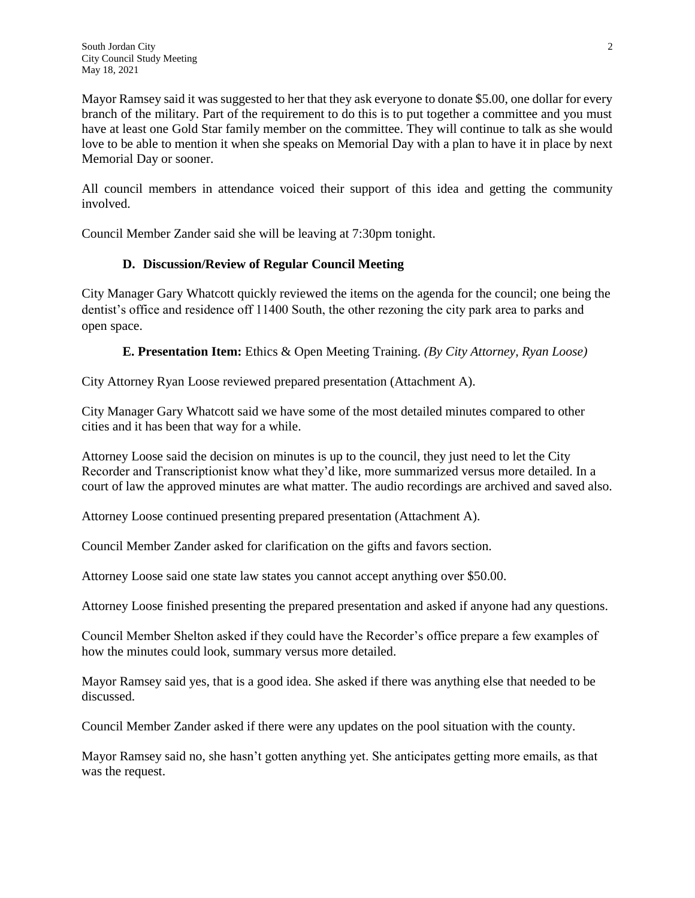Mayor Ramsey said it was suggested to her that they ask everyone to donate \$5.00, one dollar for every branch of the military. Part of the requirement to do this is to put together a committee and you must have at least one Gold Star family member on the committee. They will continue to talk as she would love to be able to mention it when she speaks on Memorial Day with a plan to have it in place by next Memorial Day or sooner.

All council members in attendance voiced their support of this idea and getting the community involved.

Council Member Zander said she will be leaving at 7:30pm tonight.

#### **D. Discussion/Review of Regular Council Meeting**

City Manager Gary Whatcott quickly reviewed the items on the agenda for the council; one being the dentist's office and residence off 11400 South, the other rezoning the city park area to parks and open space.

#### **E. Presentation Item:** Ethics & Open Meeting Training. *(By City Attorney, Ryan Loose)*

City Attorney Ryan Loose reviewed prepared presentation (Attachment A).

City Manager Gary Whatcott said we have some of the most detailed minutes compared to other cities and it has been that way for a while.

Attorney Loose said the decision on minutes is up to the council, they just need to let the City Recorder and Transcriptionist know what they'd like, more summarized versus more detailed. In a court of law the approved minutes are what matter. The audio recordings are archived and saved also.

Attorney Loose continued presenting prepared presentation (Attachment A).

Council Member Zander asked for clarification on the gifts and favors section.

Attorney Loose said one state law states you cannot accept anything over \$50.00.

Attorney Loose finished presenting the prepared presentation and asked if anyone had any questions.

Council Member Shelton asked if they could have the Recorder's office prepare a few examples of how the minutes could look, summary versus more detailed.

Mayor Ramsey said yes, that is a good idea. She asked if there was anything else that needed to be discussed.

Council Member Zander asked if there were any updates on the pool situation with the county.

Mayor Ramsey said no, she hasn't gotten anything yet. She anticipates getting more emails, as that was the request.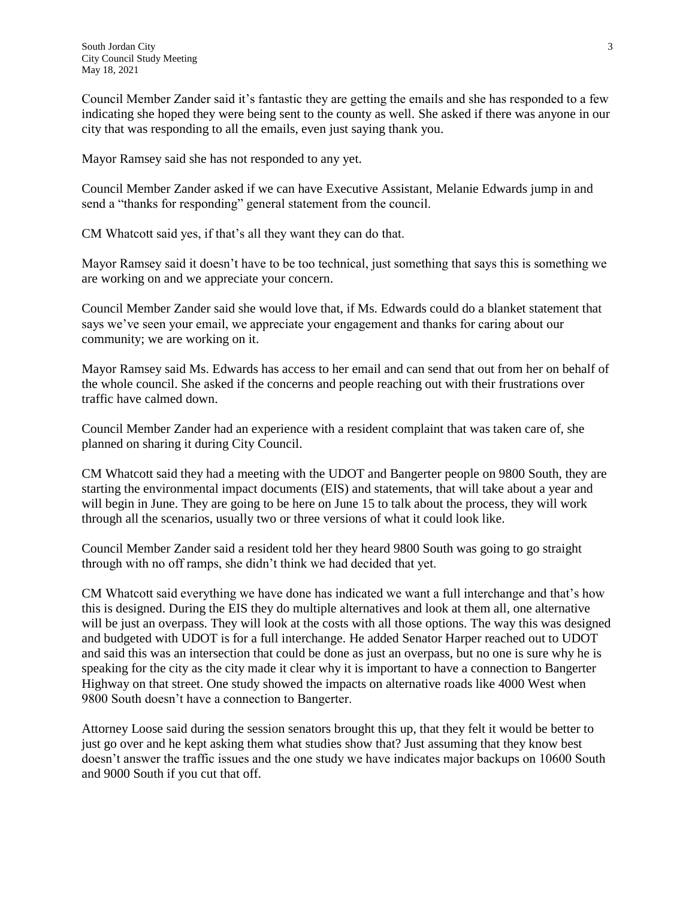Council Member Zander said it's fantastic they are getting the emails and she has responded to a few indicating she hoped they were being sent to the county as well. She asked if there was anyone in our city that was responding to all the emails, even just saying thank you.

Mayor Ramsey said she has not responded to any yet.

Council Member Zander asked if we can have Executive Assistant, Melanie Edwards jump in and send a "thanks for responding" general statement from the council.

CM Whatcott said yes, if that's all they want they can do that.

Mayor Ramsey said it doesn't have to be too technical, just something that says this is something we are working on and we appreciate your concern.

Council Member Zander said she would love that, if Ms. Edwards could do a blanket statement that says we've seen your email, we appreciate your engagement and thanks for caring about our community; we are working on it.

Mayor Ramsey said Ms. Edwards has access to her email and can send that out from her on behalf of the whole council. She asked if the concerns and people reaching out with their frustrations over traffic have calmed down.

Council Member Zander had an experience with a resident complaint that was taken care of, she planned on sharing it during City Council.

CM Whatcott said they had a meeting with the UDOT and Bangerter people on 9800 South, they are starting the environmental impact documents (EIS) and statements, that will take about a year and will begin in June. They are going to be here on June 15 to talk about the process, they will work through all the scenarios, usually two or three versions of what it could look like.

Council Member Zander said a resident told her they heard 9800 South was going to go straight through with no off ramps, she didn't think we had decided that yet.

CM Whatcott said everything we have done has indicated we want a full interchange and that's how this is designed. During the EIS they do multiple alternatives and look at them all, one alternative will be just an overpass. They will look at the costs with all those options. The way this was designed and budgeted with UDOT is for a full interchange. He added Senator Harper reached out to UDOT and said this was an intersection that could be done as just an overpass, but no one is sure why he is speaking for the city as the city made it clear why it is important to have a connection to Bangerter Highway on that street. One study showed the impacts on alternative roads like 4000 West when 9800 South doesn't have a connection to Bangerter.

Attorney Loose said during the session senators brought this up, that they felt it would be better to just go over and he kept asking them what studies show that? Just assuming that they know best doesn't answer the traffic issues and the one study we have indicates major backups on 10600 South and 9000 South if you cut that off.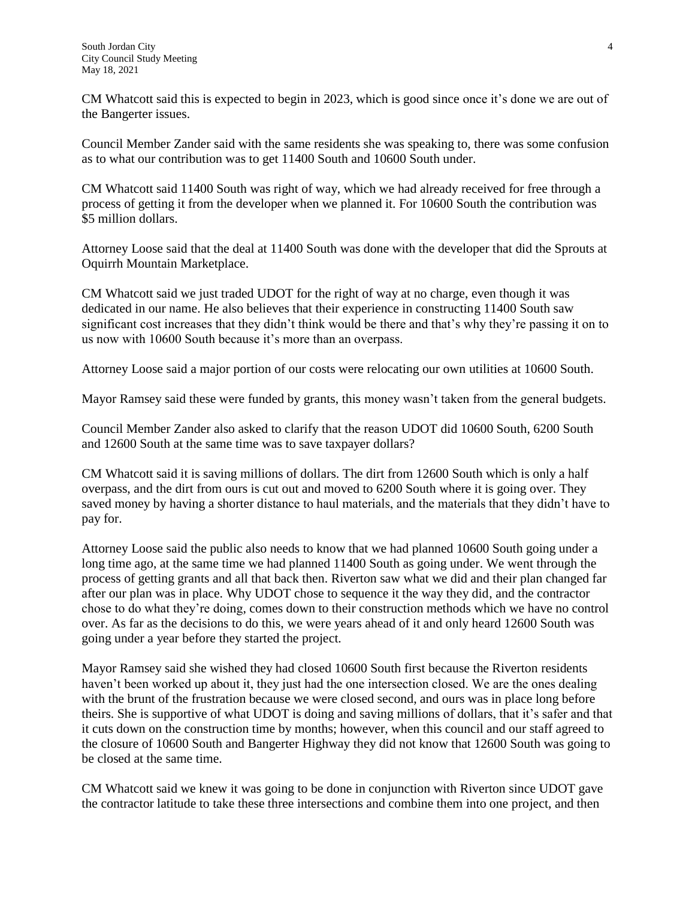CM Whatcott said this is expected to begin in 2023, which is good since once it's done we are out of the Bangerter issues.

Council Member Zander said with the same residents she was speaking to, there was some confusion as to what our contribution was to get 11400 South and 10600 South under.

CM Whatcott said 11400 South was right of way, which we had already received for free through a process of getting it from the developer when we planned it. For 10600 South the contribution was \$5 million dollars.

Attorney Loose said that the deal at 11400 South was done with the developer that did the Sprouts at Oquirrh Mountain Marketplace.

CM Whatcott said we just traded UDOT for the right of way at no charge, even though it was dedicated in our name. He also believes that their experience in constructing 11400 South saw significant cost increases that they didn't think would be there and that's why they're passing it on to us now with 10600 South because it's more than an overpass.

Attorney Loose said a major portion of our costs were relocating our own utilities at 10600 South.

Mayor Ramsey said these were funded by grants, this money wasn't taken from the general budgets.

Council Member Zander also asked to clarify that the reason UDOT did 10600 South, 6200 South and 12600 South at the same time was to save taxpayer dollars?

CM Whatcott said it is saving millions of dollars. The dirt from 12600 South which is only a half overpass, and the dirt from ours is cut out and moved to 6200 South where it is going over. They saved money by having a shorter distance to haul materials, and the materials that they didn't have to pay for.

Attorney Loose said the public also needs to know that we had planned 10600 South going under a long time ago, at the same time we had planned 11400 South as going under. We went through the process of getting grants and all that back then. Riverton saw what we did and their plan changed far after our plan was in place. Why UDOT chose to sequence it the way they did, and the contractor chose to do what they're doing, comes down to their construction methods which we have no control over. As far as the decisions to do this, we were years ahead of it and only heard 12600 South was going under a year before they started the project.

Mayor Ramsey said she wished they had closed 10600 South first because the Riverton residents haven't been worked up about it, they just had the one intersection closed. We are the ones dealing with the brunt of the frustration because we were closed second, and ours was in place long before theirs. She is supportive of what UDOT is doing and saving millions of dollars, that it's safer and that it cuts down on the construction time by months; however, when this council and our staff agreed to the closure of 10600 South and Bangerter Highway they did not know that 12600 South was going to be closed at the same time.

CM Whatcott said we knew it was going to be done in conjunction with Riverton since UDOT gave the contractor latitude to take these three intersections and combine them into one project, and then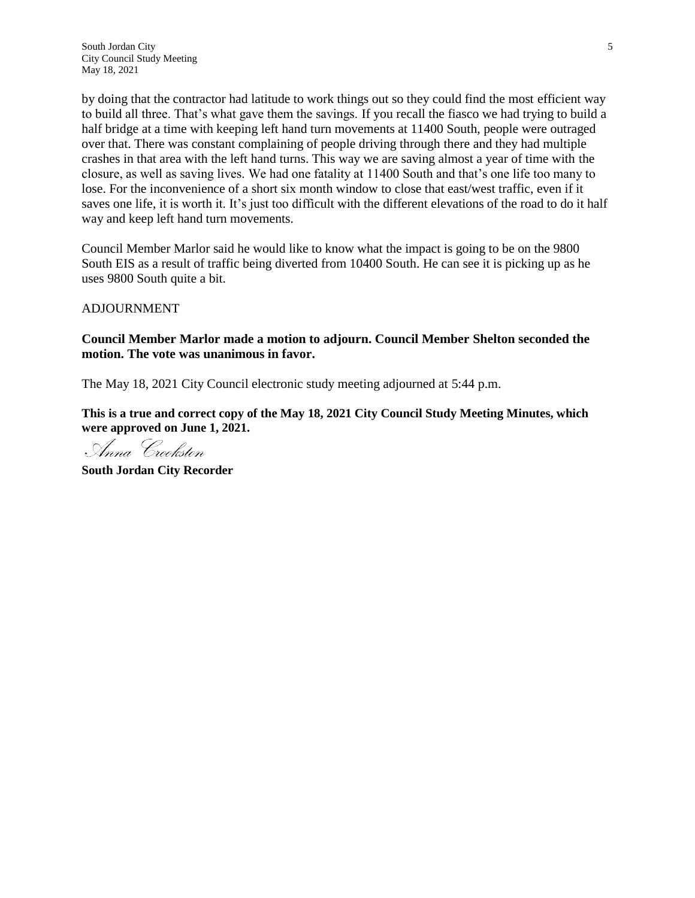by doing that the contractor had latitude to work things out so they could find the most efficient way to build all three. That's what gave them the savings. If you recall the fiasco we had trying to build a half bridge at a time with keeping left hand turn movements at 11400 South, people were outraged over that. There was constant complaining of people driving through there and they had multiple crashes in that area with the left hand turns. This way we are saving almost a year of time with the closure, as well as saving lives. We had one fatality at 11400 South and that's one life too many to lose. For the inconvenience of a short six month window to close that east/west traffic, even if it saves one life, it is worth it. It's just too difficult with the different elevations of the road to do it half way and keep left hand turn movements.

Council Member Marlor said he would like to know what the impact is going to be on the 9800 South EIS as a result of traffic being diverted from 10400 South. He can see it is picking up as he uses 9800 South quite a bit.

#### ADJOURNMENT

#### **Council Member Marlor made a motion to adjourn. Council Member Shelton seconded the motion. The vote was unanimous in favor.**

The May 18, 2021 City Council electronic study meeting adjourned at 5:44 p.m.

**This is a true and correct copy of the May 18, 2021 City Council Study Meeting Minutes, which were approved on June 1, 2021.**

Inna Crookston

**South Jordan City Recorder**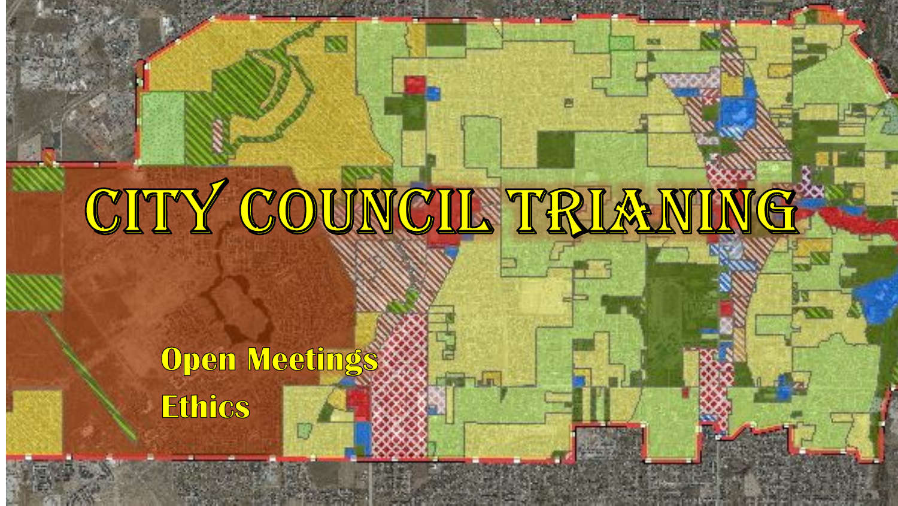# CITY COUNCIL TRIANING

#### **Open Meetings** Ethics

28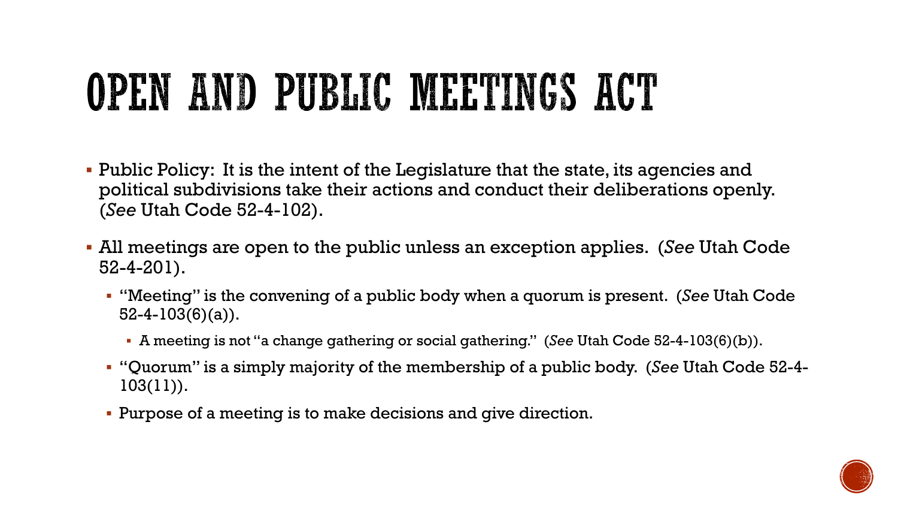## OPEN AND PUBLIC MEETINGS ACT

- Public Policy: It is the intent of the Legislature that the state, its agencies and political subdivisions take their actions and conduct their deliberations openly. (*See* Utah Code 52-4-102).
- All meetings are open to the public unless an exception applies. (*See* Utah Code 52-4-201).
	- "Meeting" is the convening of a public body when a quorum is present. (*See* Utah Code 52-4-103(6)(a)).
		- A meeting is not "a change gathering or social gathering." (*See* Utah Code 52-4-103(6)(b)).
	- "Quorum" is a simply majority of the membership of a public body. (*See* Utah Code 52-4- 103(11)).
	- Purpose of a meeting is to make decisions and give direction.

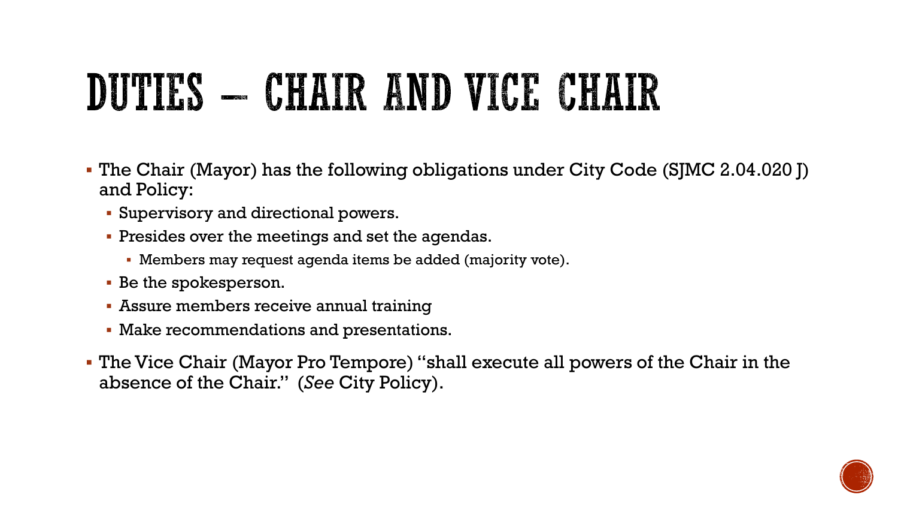## DUTIES – CHAIR AND VICE CHAIR

- The Chair (Mayor) has the following obligations under City Code (SJMC 2.04.020 J) and Policy:
	- Supervisory and directional powers.
	- **Presides over the meetings and set the agendas.** 
		- Members may request agenda items be added (majority vote).
	- Be the spokesperson.
	- Assure members receive annual training
	- Make recommendations and presentations.
- The Vice Chair (Mayor Pro Tempore) "shall execute all powers of the Chair in the absence of the Chair." (*See* City Policy).

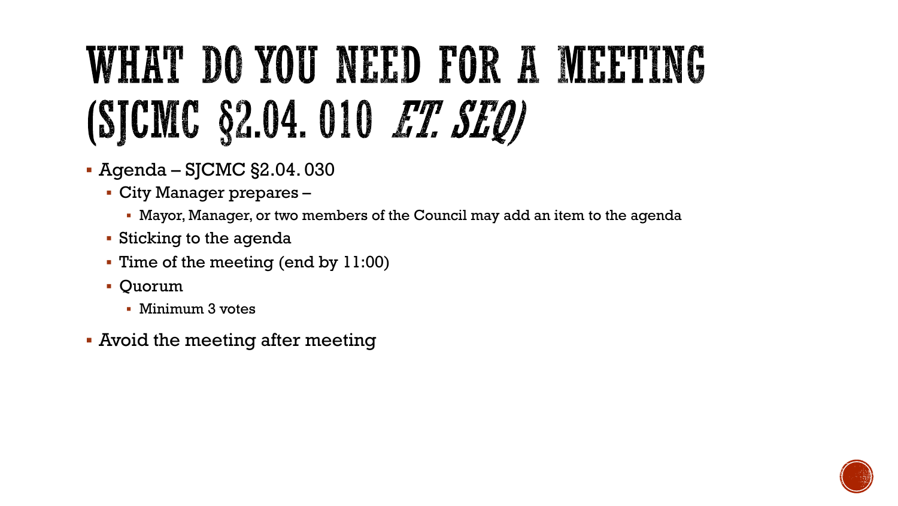## WHAT DO YOU NEED FOR A MEETING (SJCMC §2.04.010 *ET. SEQ)*

- Agenda SJCMC §2.04. 030
	- City Manager prepares
		- Mayor, Manager, or two members of the Council may add an item to the agenda
	- Sticking to the agenda
	- Time of the meeting (end by 11:00)
	- Quorum
		- **Minimum 3 votes**
- Avoid the meeting after meeting

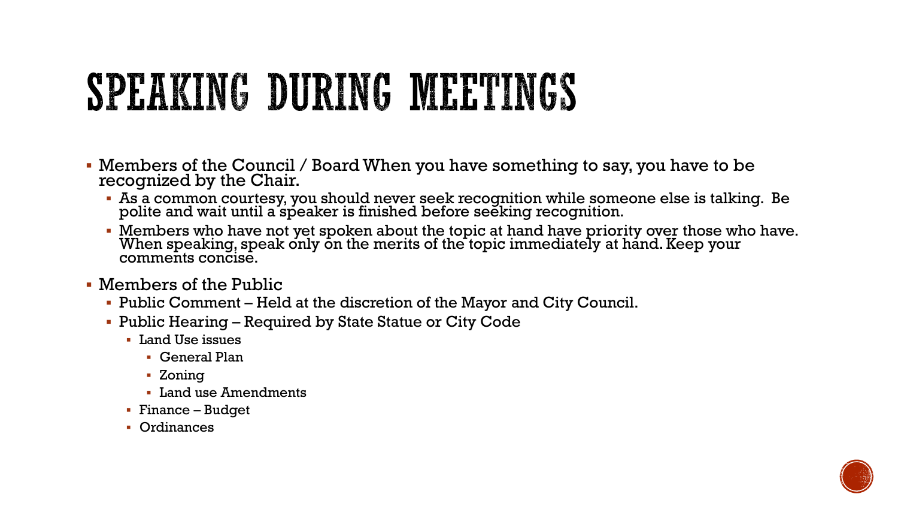## SPEAKING DURING MEETINGS

- Members of the Council / Board When you have something to say, you have to be recognized by the Chair.
	- As a common courtesy, you should never seek recognition while someone else is talking. Be polite and wait until a speaker is finished before seeking recognition.
	- Members who have not yet spoken about the topic at hand have priority over those who have. When speaking, speak only on the merits of the topic immediately at hand. Keep your comments concise.
- Members of the Public
	- Public Comment Held at the discretion of the Mayor and City Council.
	- Public Hearing Required by State Statue or City Code
		- Land Use issues
			- General Plan
			- Zoning
			- **Land use Amendments**
		- Finance Budget
		- Ordinances

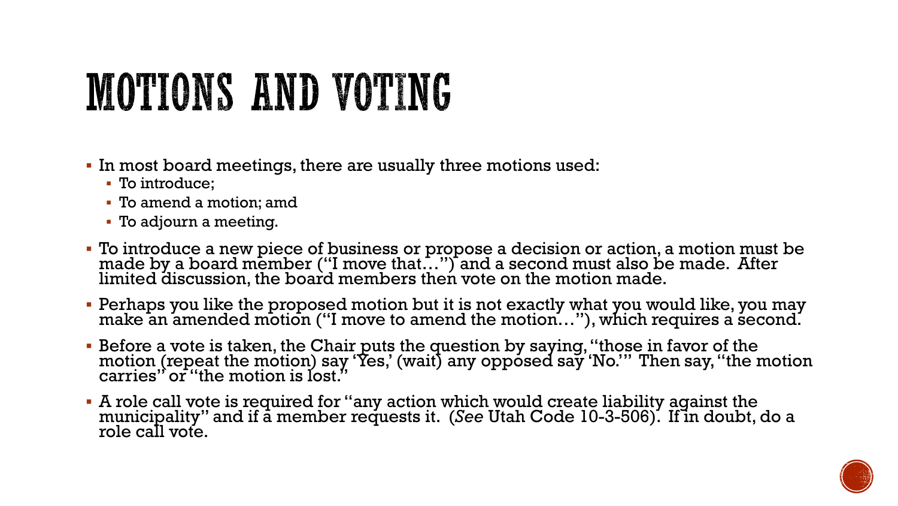## MOTIONS AND VOTING

- In most board meetings, there are usually three motions used:
	- To introduce;
	- To amend a motion; amd
	- To adjourn a meeting.
- To introduce a new piece of business or propose a decision or action, a motion must be made by a board member ("I move that…") and a second must also be made. After limited discussion, the board members then vote on the motion made.
- Perhaps you like the proposed motion but it is not exactly what you would like, you may make an amended motion ("I move to amend the motion..."), which requires a second.
- Before a vote is taken, the Chair puts the question by saying, "those in favor of the motion (repeat the motion) say 'Yes,' (wait) any opposed say 'No.'" Then say, "the motion carries" or "the motion is lost."
- A role call vote is required for "any action which would create liability against the municipality" and if ā member requests it. (*See* Utah Code 10-3-506). If in doubt, do a<br>role call vote.

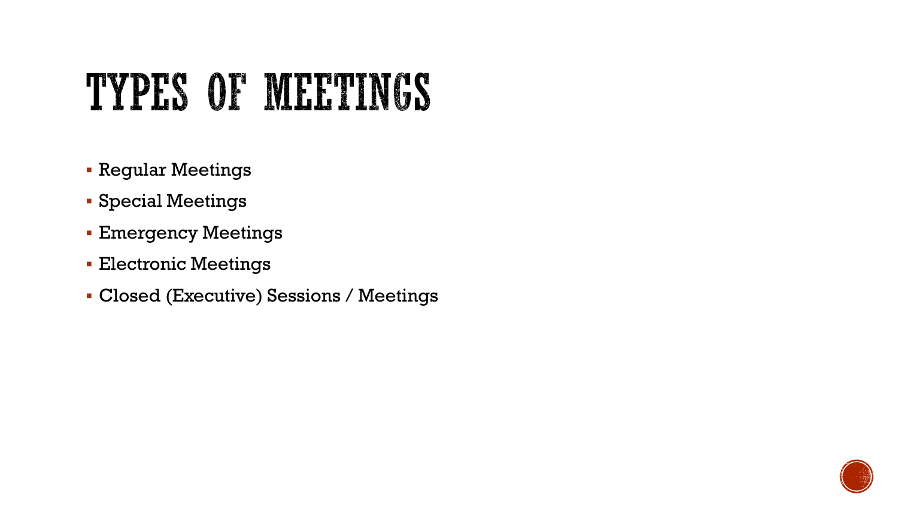## TYPES OF MEETINGS

- Regular Meetings
- Special Meetings
- **Emergency Meetings**
- Electronic Meetings
- Closed (Executive) Sessions / Meetings

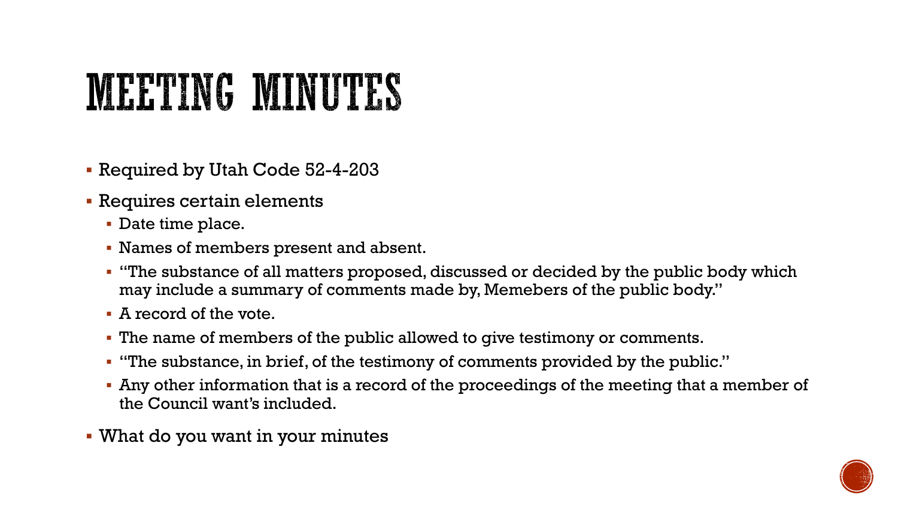### MEETING MINUTES

- Required by Utah Code 52-4-203
- Requires certain elements
	- Date time place.
	- Names of members present and absent.
	- "The substance of all matters proposed, discussed or decided by the public body which may include a summary of comments made by, Memebers of the public body."
	- A record of the vote.
	- The name of members of the public allowed to give testimony or comments.
	- "The substance, in brief, of the testimony of comments provided by the public."
	- Any other information that is a record of the proceedings of the meeting that a member of the Council want's included.
- What do you want in your minutes

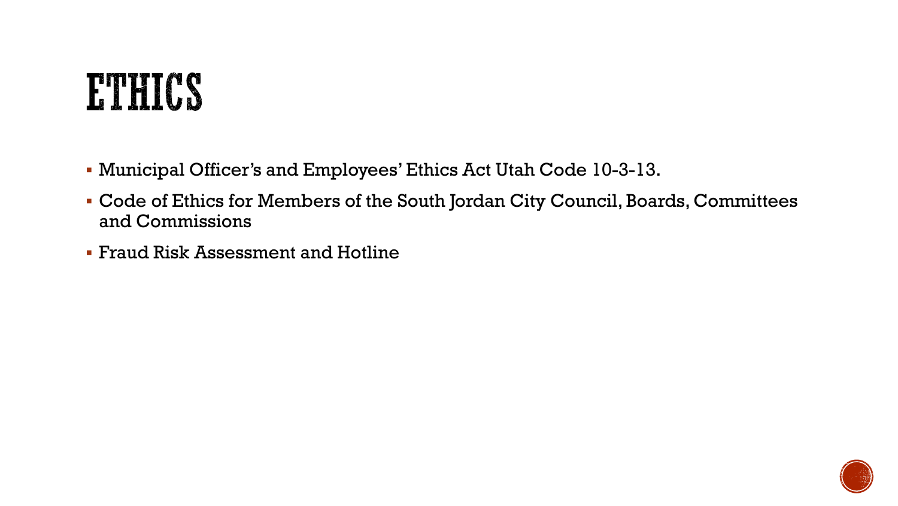### ETHICS

- Municipal Officer's and Employees' Ethics Act Utah Code 10-3-13.
- Code of Ethics for Members of the South Jordan City Council, Boards, Committees and Commissions
- Fraud Risk Assessment and Hotline

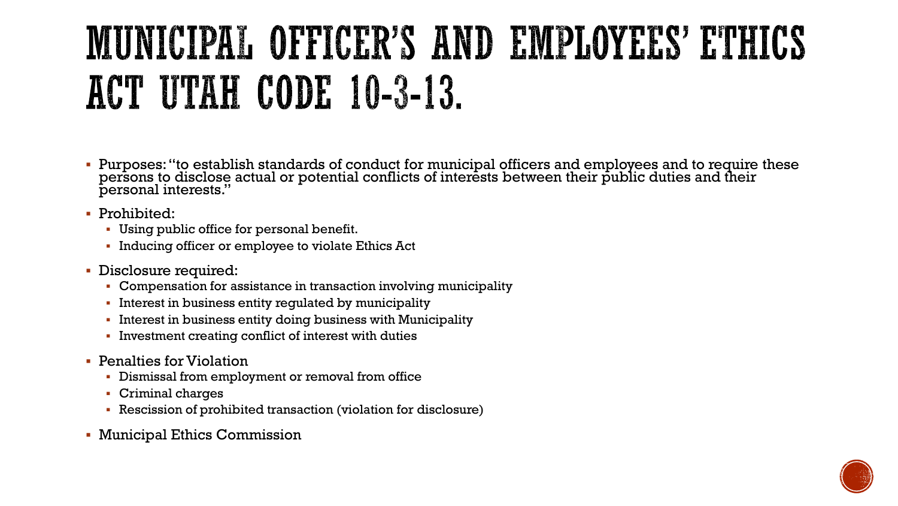### MUNICIPAL OFFICER'S AND EMPLOYEES' ETHICS ACT UTAH CODE 10-3-13.

- Purposes: "to establish standards of conduct for municipal officers and employees and to require these persons to disclose actual or potential conflicts of interests between their public duties and their personal interests."
- **Prohibited:** 
	- Using public office for personal benefit.
	- Inducing officer or employee to violate Ethics Act
- Disclosure required:
	- Compensation for assistance in transaction involving municipality
	- Interest in business entity regulated by municipality
	- Interest in business entity doing business with Municipality
	- **Investment creating conflict of interest with duties**
- Penalties for Violation
	- Dismissal from employment or removal from office
	- Criminal charges
	- Rescission of prohibited transaction (violation for disclosure)
- Municipal Ethics Commission

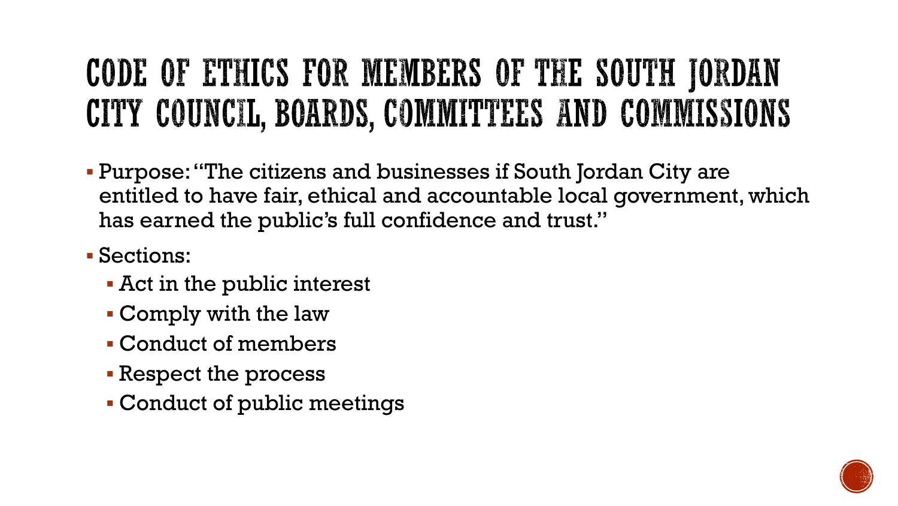### CODE OF ETHICS FOR MEMBERS OF THE SOUTH JORDAN CITY COUNCIL, BOARDS, COMMITTEES AND COMMISSIONS

- Purpose: "The citizens and businesses if South Jordan City are entitled to have fair, ethical and accountable local government, which has earned the public's full confidence and trust."
- Sections:
	- Act in the public interest
	- Comply with the law
	- Conduct of members
	- **Respect the process**
	- Conduct of public meetings

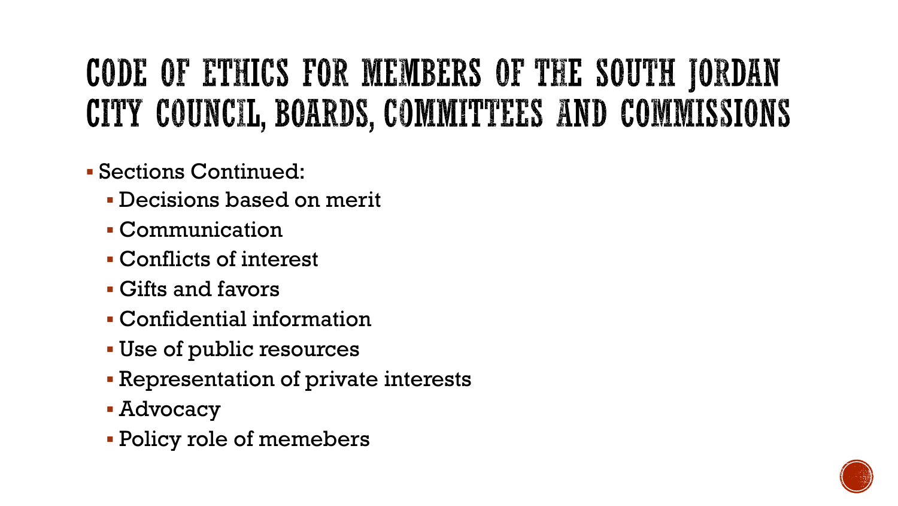### CODE OF ETHICS FOR MEMBERS OF THE SOUTH JORDAN CITY COUNCIL, BOARDS, COMMITTEES AND COMMISSIONS

- Sections Continued:
	- Decisions based on merit
	- Communication
	- Conflicts of interest
	- Gifts and favors
	- Confidential information
	- Use of public resources
	- Representation of private interests
	- **Advocacy**
	- Policy role of memebers

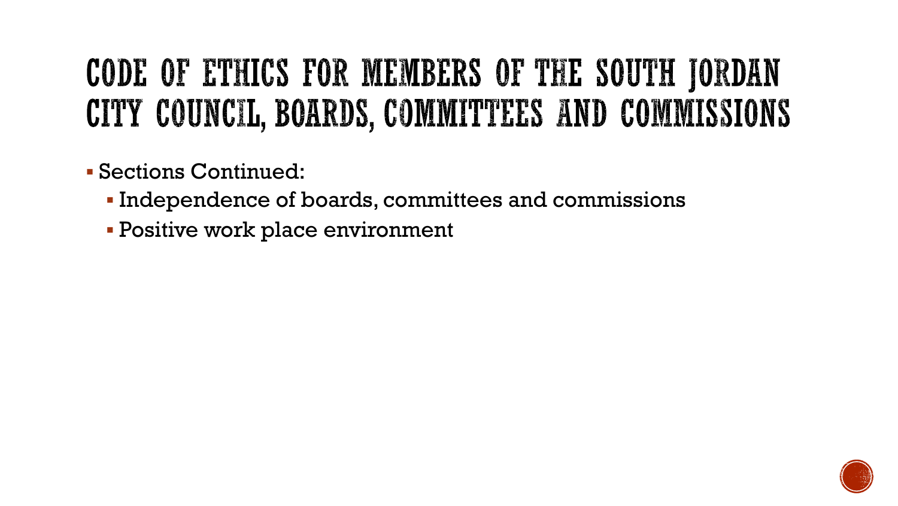### CODE OF ETHICS FOR MEMBERS OF THE SOUTH JORDAN CITY COUNCIL, BOARDS, COMMITTEES AND COMMISSIONS

Sections Continued:

- Independence of boards, committees and commissions
- Positive work place environment